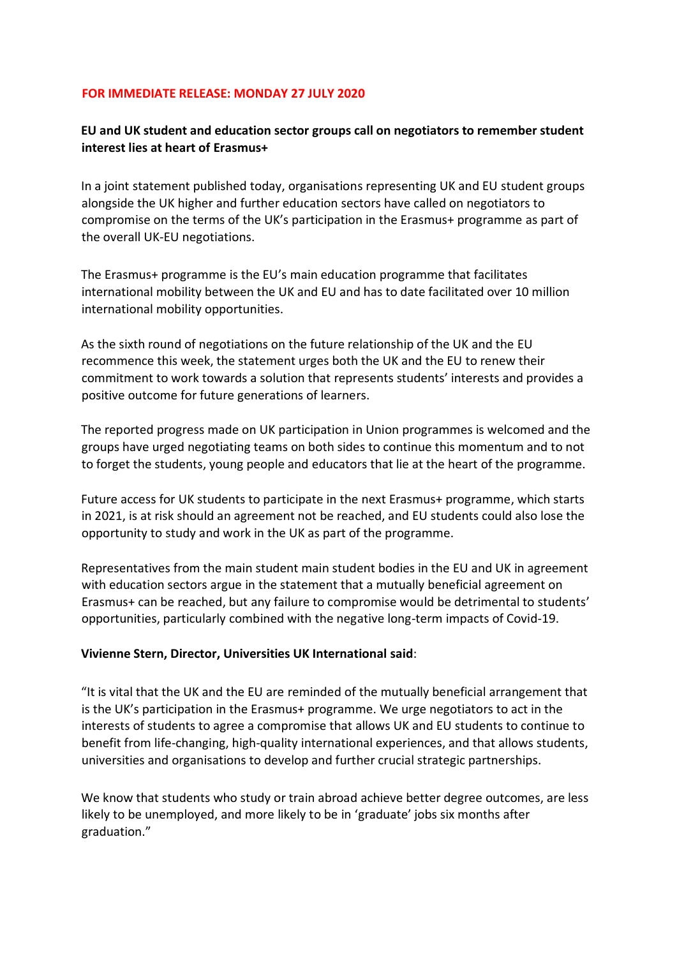## **FOR IMMEDIATE RELEASE: MONDAY 27 JULY 2020**

## **EU and UK student and education sector groups call on negotiators to remember student interest lies at heart of Erasmus+**

In a joint statement published today, organisations representing UK and EU student groups alongside the UK higher and further education sectors have called on negotiators to compromise on the terms of the UK's participation in the Erasmus+ programme as part of the overall UK-EU negotiations.

The Erasmus+ programme is the EU's main education programme that facilitates international mobility between the UK and EU and has to date facilitated over 10 million international mobility opportunities.

As the sixth round of negotiations on the future relationship of the UK and the EU recommence this week, the statement urges both the UK and the EU to renew their commitment to work towards a solution that represents students' interests and provides a positive outcome for future generations of learners.

The reported progress made on UK participation in Union programmes is welcomed and the groups have urged negotiating teams on both sides to continue this momentum and to not to forget the students, young people and educators that lie at the heart of the programme.

Future access for UK students to participate in the next Erasmus+ programme, which starts in 2021, is at risk should an agreement not be reached, and EU students could also lose the opportunity to study and work in the UK as part of the programme.

Representatives from the main student main student bodies in the EU and UK in agreement with education sectors argue in the statement that a mutually beneficial agreement on Erasmus+ can be reached, but any failure to compromise would be detrimental to students' opportunities, particularly combined with the negative long-term impacts of Covid-19.

## **Vivienne Stern, Director, Universities UK International said**:

"It is vital that the UK and the EU are reminded of the mutually beneficial arrangement that is the UK's participation in the Erasmus+ programme. We urge negotiators to act in the interests of students to agree a compromise that allows UK and EU students to continue to benefit from life-changing, high-quality international experiences, and that allows students, universities and organisations to develop and further crucial strategic partnerships.

We know that students who study or train abroad achieve better degree outcomes, are less likely to be unemployed, and more likely to be in 'graduate' jobs six months after graduation."